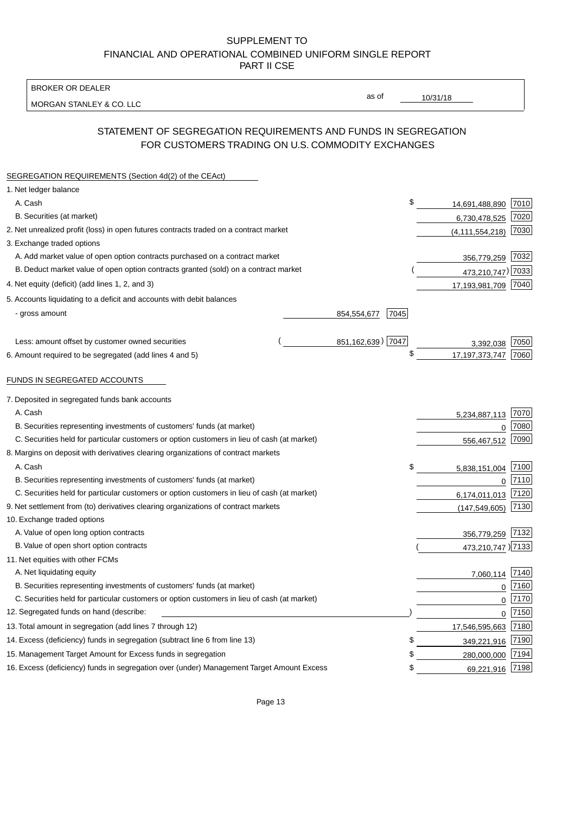BROKER OR DEALER

MORGAN STANLEY & CO. LLC

10/31/18

as of

# STATEMENT OF SEGREGATION REQUIREMENTS AND FUNDS IN SEGREGATION FOR CUSTOMERS TRADING ON U.S. COMMODITY EXCHANGES

| SEGREGATION REQUIREMENTS (Section 4d(2) of the CEAct)                                       |                                  |                        |
|---------------------------------------------------------------------------------------------|----------------------------------|------------------------|
| 1. Net ledger balance                                                                       |                                  |                        |
| A. Cash                                                                                     | \$<br>14,691,488,890             | 7010                   |
| B. Securities (at market)                                                                   | 6,730,478,525                    | 7020                   |
| 2. Net unrealized profit (loss) in open futures contracts traded on a contract market       | (4, 111, 554, 218)               | 7030                   |
| 3. Exchange traded options                                                                  |                                  |                        |
| A. Add market value of open option contracts purchased on a contract market                 |                                  | 356,779,259 7032       |
| B. Deduct market value of open option contracts granted (sold) on a contract market         |                                  | 473,210,747) 7033      |
| 4. Net equity (deficit) (add lines 1, 2, and 3)                                             | 17,193,981,709 7040              |                        |
| 5. Accounts liquidating to a deficit and accounts with debit balances                       |                                  |                        |
| - gross amount                                                                              | 854,554,677<br>7045              |                        |
|                                                                                             |                                  |                        |
| Less: amount offset by customer owned securities                                            | 851, 162, 639) 7047<br>3,392,038 | 7050                   |
| 6. Amount required to be segregated (add lines 4 and 5)                                     | \$<br>17, 197, 373, 747          | 7060                   |
| FUNDS IN SEGREGATED ACCOUNTS                                                                |                                  |                        |
| 7. Deposited in segregated funds bank accounts                                              |                                  |                        |
| A. Cash                                                                                     | 5,234,887,113                    | 7070                   |
| B. Securities representing investments of customers' funds (at market)                      |                                  | 7080<br>$\overline{0}$ |
| C. Securities held for particular customers or option customers in lieu of cash (at market) | 556,467,512                      | 7090                   |
| 8. Margins on deposit with derivatives clearing organizations of contract markets           |                                  |                        |
| A. Cash                                                                                     | \$<br>5,838,151,004              | 7100                   |
| B. Securities representing investments of customers' funds (at market)                      |                                  | 7110<br>$\mathbf 0$    |
| C. Securities held for particular customers or option customers in lieu of cash (at market) | 6,174,011,013                    | 7120                   |
| 9. Net settlement from (to) derivatives clearing organizations of contract markets          | (147, 549, 605)                  | 7130                   |
| 10. Exchange traded options                                                                 |                                  |                        |
| A. Value of open long option contracts                                                      | 356,779,259                      | 7132                   |
| B. Value of open short option contracts                                                     |                                  | 473,210,747 )7133      |
| 11. Net equities with other FCMs                                                            |                                  |                        |
| A. Net liquidating equity                                                                   | 7,060,114                        | 7140                   |
| B. Securities representing investments of customers' funds (at market)                      |                                  | 7160<br>$\mathbf 0$    |
| C. Securities held for particular customers or option customers in lieu of cash (at market) |                                  | 7170<br>0              |
| 12. Segregated funds on hand (describe:                                                     |                                  | 7150<br>$\mathbf 0$    |
| 13. Total amount in segregation (add lines 7 through 12)                                    | 17,546,595,663 7180              |                        |
| 14. Excess (deficiency) funds in segregation (subtract line 6 from line 13)                 | S<br>349,221,916                 | 7190                   |
| 15. Management Target Amount for Excess funds in segregation                                | \$<br>280,000,000                | 7194                   |
| 16. Excess (deficiency) funds in segregation over (under) Management Target Amount Excess   | \$<br>69,221,916                 | 7198                   |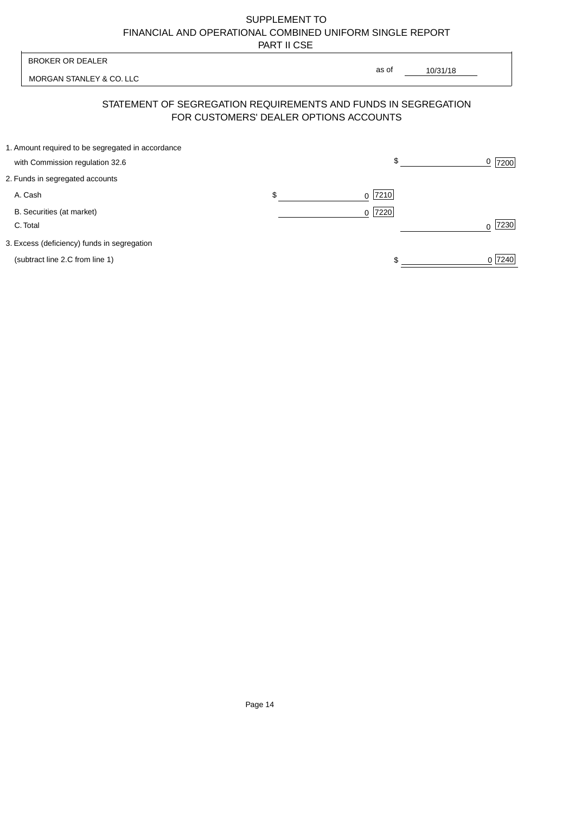| <b>BROKER OR DEALER</b>                                                              | as of                                                                                                    |                  |
|--------------------------------------------------------------------------------------|----------------------------------------------------------------------------------------------------------|------------------|
| MORGAN STANLEY & CO. LLC                                                             | 10/31/18                                                                                                 |                  |
|                                                                                      | STATEMENT OF SEGREGATION REQUIREMENTS AND FUNDS IN SEGREGATION<br>FOR CUSTOMERS' DEALER OPTIONS ACCOUNTS |                  |
| 1. Amount required to be segregated in accordance<br>with Commission regulation 32.6 | \$                                                                                                       | 0<br>7200        |
| 2. Funds in segregated accounts                                                      |                                                                                                          |                  |
| A. Cash                                                                              | \$<br>7210<br><sup>0</sup>                                                                               |                  |
| B. Securities (at market)<br>C. Total                                                | 0 7220                                                                                                   | 7230<br>$\Omega$ |
| 3. Excess (deficiency) funds in segregation                                          |                                                                                                          |                  |
| (subtract line 2.C from line 1)                                                      |                                                                                                          | 0 7240           |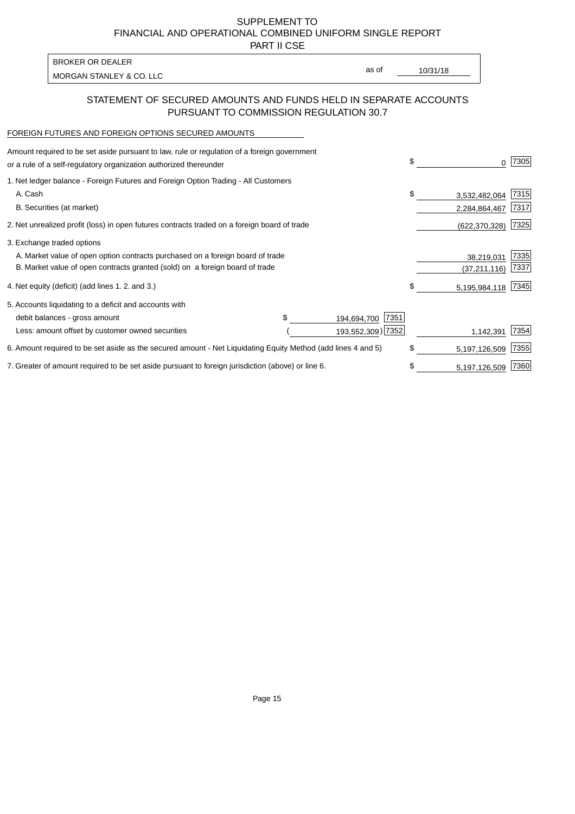PART II CSE

| as of | 10/31/18 |
|-------|----------|
|       |          |

## STATEMENT OF SECURED AMOUNTS AND FUNDS HELD IN SEPARATE ACCOUNTS PURSUANT TO COMMISSION REGULATION 30.7

#### FOREIGN FUTURES AND FOREIGN OPTIONS SECURED AMOUNTS

| Amount required to be set aside pursuant to law, rule or regulation of a foreign government<br>or a rule of a self-regulatory organization authorized thereunder |  |                     | \$<br>0             | 7305 |
|------------------------------------------------------------------------------------------------------------------------------------------------------------------|--|---------------------|---------------------|------|
| 1. Net ledger balance - Foreign Futures and Foreign Option Trading - All Customers                                                                               |  |                     |                     |      |
| A. Cash                                                                                                                                                          |  |                     | \$<br>3,532,482,064 | 7315 |
| B. Securities (at market)                                                                                                                                        |  |                     | 2,284,864,467       | 7317 |
| 2. Net unrealized profit (loss) in open futures contracts traded on a foreign board of trade                                                                     |  |                     | (622, 370, 328)     | 7325 |
| 3. Exchange traded options                                                                                                                                       |  |                     |                     |      |
| A. Market value of open option contracts purchased on a foreign board of trade                                                                                   |  |                     | 38,219,031          | 7335 |
| B. Market value of open contracts granted (sold) on a foreign board of trade                                                                                     |  |                     | (37, 211, 116)      | 7337 |
| 4. Net equity (deficit) (add lines 1.2. and 3.)                                                                                                                  |  |                     | \$<br>5,195,984,118 | 7345 |
| 5. Accounts liquidating to a deficit and accounts with                                                                                                           |  |                     |                     |      |
| debit balances - gross amount                                                                                                                                    |  | 7351<br>194,694,700 |                     |      |
| Less: amount offset by customer owned securities                                                                                                                 |  | 193,552,309) 7352   | 1,142,391           | 7354 |
| 6. Amount required to be set aside as the secured amount - Net Liquidating Equity Method (add lines 4 and 5)                                                     |  |                     | \$<br>5,197,126,509 | 7355 |
| 7. Greater of amount required to be set aside pursuant to foreign jurisdiction (above) or line 6.                                                                |  |                     | \$<br>5,197,126,509 | 7360 |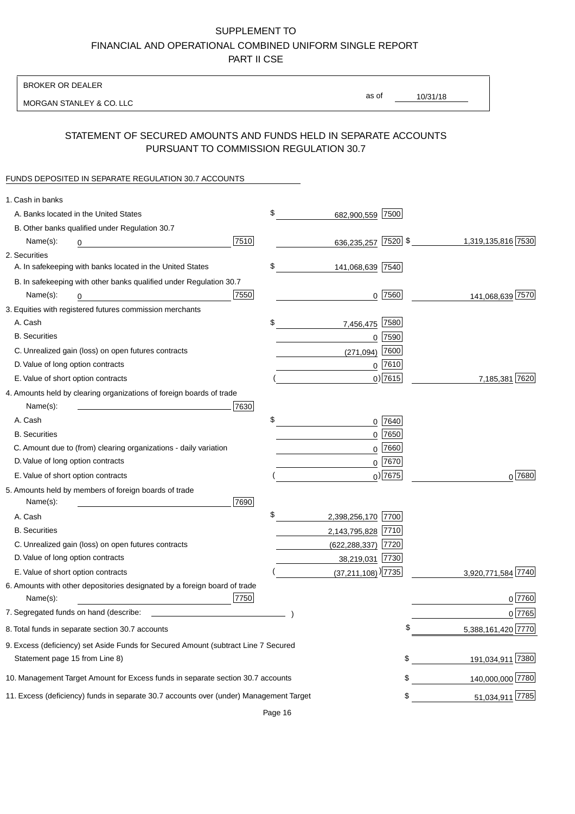BROKER OR DEALER

MORGAN STANLEY & CO. LLC

10/31/18 as of

# STATEMENT OF SECURED AMOUNTS AND FUNDS HELD IN SEPARATE ACCOUNTS PURSUANT TO COMMISSION REGULATION 30.7

### FUNDS DEPOSITED IN SEPARATE REGULATION 30.7 ACCOUNTS

| 1. Cash in banks                   |                                                                                        |      |                                  |             |                    |
|------------------------------------|----------------------------------------------------------------------------------------|------|----------------------------------|-------------|--------------------|
|                                    | A. Banks located in the United States                                                  |      | \$<br>682,900,559 7500           |             |                    |
|                                    | B. Other banks qualified under Regulation 30.7                                         |      |                                  |             |                    |
| Name(s):                           | 0                                                                                      | 7510 | 636,235,257                      | $ 7520 $ \$ | 1,319,135,816 7530 |
| 2. Securities                      |                                                                                        |      |                                  |             |                    |
|                                    | A. In safekeeping with banks located in the United States                              |      | \$<br>141,068,639 7540           |             |                    |
|                                    | B. In safekeeping with other banks qualified under Regulation 30.7                     |      |                                  |             |                    |
| Name(s):                           | 0                                                                                      | 7550 |                                  | $0$ 7560    | 141,068,639 7570   |
|                                    | 3. Equities with registered futures commission merchants                               |      |                                  |             |                    |
| A. Cash                            |                                                                                        |      | \$<br>7,456,475                  | 7580        |                    |
| <b>B.</b> Securities               |                                                                                        |      |                                  | $0$ 7590    |                    |
|                                    | C. Unrealized gain (loss) on open futures contracts                                    |      | (271, 094)                       | 7600        |                    |
| D. Value of long option contracts  |                                                                                        |      |                                  | $0$ 7610    |                    |
| E. Value of short option contracts |                                                                                        |      |                                  | $0)$ 7615   | 7,185,381 7620     |
|                                    | 4. Amounts held by clearing organizations of foreign boards of trade                   |      |                                  |             |                    |
| Name(s):                           |                                                                                        | 7630 |                                  |             |                    |
| A. Cash                            |                                                                                        |      | \$                               | 0 7640      |                    |
| <b>B.</b> Securities               |                                                                                        |      |                                  | $0$ 7650    |                    |
|                                    | C. Amount due to (from) clearing organizations - daily variation                       |      | 0                                | 7660        |                    |
| D. Value of long option contracts  |                                                                                        |      |                                  | 0 7670      |                    |
| E. Value of short option contracts |                                                                                        |      |                                  | $_0$ ) 7675 | 0 7680             |
|                                    | 5. Amounts held by members of foreign boards of trade                                  |      |                                  |             |                    |
| Name(s):                           |                                                                                        | 7690 |                                  |             |                    |
| A. Cash                            |                                                                                        |      | \$<br>2,398,256,170 7700         |             |                    |
| <b>B.</b> Securities               |                                                                                        |      | 2,143,795,828 7710               |             |                    |
|                                    | C. Unrealized gain (loss) on open futures contracts                                    |      | $(622, 288, 337)$ 7720           |             |                    |
| D. Value of long option contracts  |                                                                                        |      | 38,219,031 7730                  |             |                    |
| E. Value of short option contracts |                                                                                        |      | $(37,211,108)$ <sup>)</sup> 7735 |             | 3,920,771,584 7740 |
|                                    | 6. Amounts with other depositories designated by a foreign board of trade              |      |                                  |             |                    |
| Name(s):                           |                                                                                        | 7750 |                                  |             | 0 7760             |
|                                    |                                                                                        |      |                                  |             | 0 7765             |
|                                    | 8. Total funds in separate section 30.7 accounts                                       |      |                                  |             | 5,388,161,420 7770 |
|                                    | 9. Excess (deficiency) set Aside Funds for Secured Amount (subtract Line 7 Secured     |      |                                  |             |                    |
| Statement page 15 from Line 8)     |                                                                                        |      |                                  | \$          | 191,034,911 7380   |
|                                    | 10. Management Target Amount for Excess funds in separate section 30.7 accounts        |      |                                  | \$          | 140,000,000 7780   |
|                                    | 11. Excess (deficiency) funds in separate 30.7 accounts over (under) Management Target |      |                                  | \$          | 51,034,911 7785    |
|                                    |                                                                                        |      |                                  |             |                    |